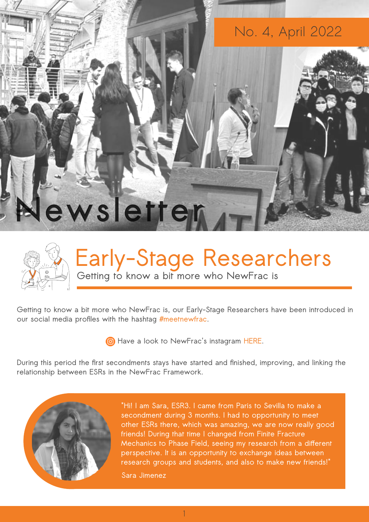



## **Early-Stage Researchers Getting to know a bit more who NewFrac is**

**Getting to know a bit more who NewFrac is, our Early-Stage Researchers have been introduced in our social media profiles with the hashtag #meetnewfrac.** 

 $\odot$  [Have a look to NewFrac's instagram HERE.](https://instagram.com/newfrac_itn?utm_medium=copy_link)

**During this period the first secondments stays have started and finished, improving, and linking the relationship between ESRs in the NewFrac Framework.** 



**"Hi! I am Sara, ESR3. I came from Paris to Sevilla to make a secondment during 3 months. I had to opportunity to meet other ESRs there, which was amazing, we are now really good friends! During that time I changed from Finite Fracture Mechanics to Phase Field, seeing my research from a different perspective. It is an opportunity to exchange ideas between research groups and students, and also to make new friends!"**

**Sara Jimenez**